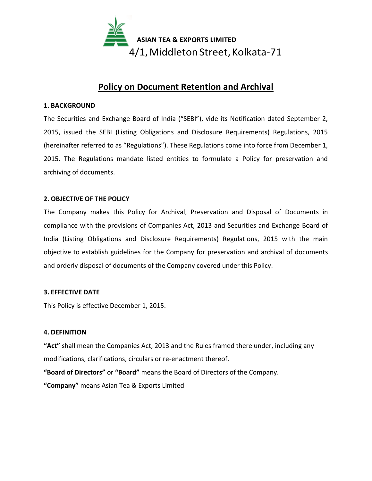

## **Policy on Document Retention and Archival**

### **1. BACKGROUND**

The Securities and Exchange Board of India ("SEBI"), vide its Notification dated September 2, 2015, issued the SEBI (Listing Obligations and Disclosure Requirements) Regulations, 2015 (hereinafter referred to as "Regulations"). These Regulations come into force from December 1, 2015. The Regulations mandate listed entities to formulate a Policy for preservation and archiving of documents.

## **2. OBJECTIVE OF THE POLICY**

The Company makes this Policy for Archival, Preservation and Disposal of Documents in compliance with the provisions of Companies Act, 2013 and Securities and Exchange Board of India (Listing Obligations and Disclosure Requirements) Regulations, 2015 with the main objective to establish guidelines for the Company for preservation and archival of documents and orderly disposal of documents of the Company covered under this Policy.

## **3. EFFECTIVE DATE**

This Policy is effective December 1, 2015.

## **4. DEFINITION**

**"Act"** shall mean the Companies Act, 2013 and the Rules framed there under, including any modifications, clarifications, circulars or re-enactment thereof.

**"Board of Directors"** or **"Board"** means the Board of Directors of the Company.

**"Company"** means Asian Tea & Exports Limited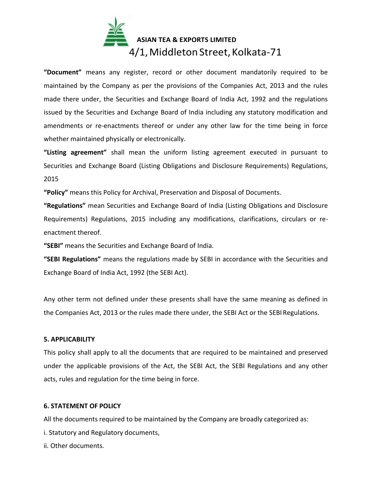# **ASIAN TEA & EXPORTS LIMITED** 4/1, Middleton Street, Kolkata-71

**"Document"** means any register, record or other document mandatorily required to be maintained by the Company as per the provisions of the Companies Act, 2013 and the rules made there under, the Securities and Exchange Board of India Act, 1992 and the regulations issued by the Securities and Exchange Board of India including any statutory modification and amendments or re-enactments thereof or under any other law for the time being in force whether maintained physically or electronically.

**"Listing agreement"** shall mean the uniform listing agreement executed in pursuant to Securities and Exchange Board (Listing Obligations and Disclosure Requirements) Regulations, 2015

**"Policy"** means this Policy for Archival, Preservation and Disposal of Documents.

**"Regulations"** mean Securities and Exchange Board of India (Listing Obligations and Disclosure Requirements) Regulations, 2015 including any modifications, clarifications, circulars or reenactment thereof.

**"SEBI"** means the Securities and Exchange Board of India.

**"SEBI Regulations"** means the regulations made by SEBI in accordance with the Securities and Exchange Board of India Act, 1992 (the SEBI Act).

Any other term not defined under these presents shall have the same meaning as defined in the Companies Act, 2013 or the rules made there under, the SEBI Act or the SEBI Regulations.

## **5. APPLICABILITY**

This policy shall apply to all the documents that are required to be maintained and preserved under the applicable provisions of the Act, the SEBI Act, the SEBI Regulations and any other acts, rules and regulation for the time being in force.

### **6. STATEMENT OF POLICY**

All the documents required to be maintained by the Company are broadly categorized as:

i. Statutory and Regulatory documents,

ii. Other documents.